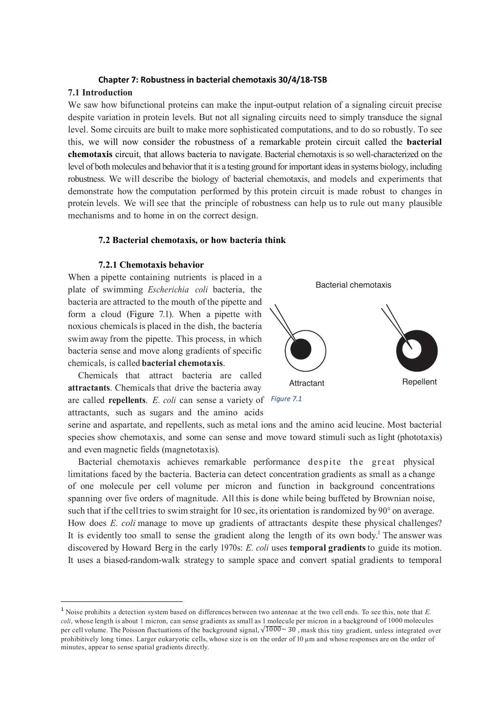## **Chapter 7: Robustness in bacterial chemotaxis 30/4/18-TSB**

## **7.1 Introduction**

We saw how bifunctional proteins can make the input-output relation of a signaling circuit precise despite variation in protein levels. But not all signaling circuits need to simply transduce the signal level. Some circuits are built to make more sophisticated computations, and to do so robustly. To see this, we will now consider the robustness of a remarkable protein circuit called the **bacterial chemotaxis** circuit, that allows bacteria to navigate. Bacterial chemotaxis is so well-characterized on the level of both molecules and behavior that it is a testing ground for important ideas in systems biology, including robustness. We will describe the biology of bacterial chemotaxis, and models and experiments that demonstrate how the computation performed by this protein circuit is made robust to changes in protein levels. We will see that the principle of robustness can help us to rule out many plausible mechanisms and to home in on the correct design.

# **7.2 Bacterial chemotaxis, or how bacteria think**

## **7.2.1 Chemotaxis behavior**

When a pipette containing nutrients is placed in a plate of swimming *Escherichia coli* bacteria, the bacteria are attracted to the mouth of the pipette and form a cloud (Figure 7.1). When a pipette with noxious chemicalsis placed in the dish, the bacteria swim away from the pipette. This process, in which bacteria sense and move along gradients of specific chemicals, is called **bacterial chemotaxis**.

Chemicals that attract bacteria are called **attractants**. Chemicals that drive the bacteria away are called **repellents**. *E. coli* can sense a variety of *Figure 7.1*attractants, such as sugars and the amino acids



serine and aspartate, and repellents, such as metal ions and the amino acid leucine. Most bacterial species show chemotaxis, and some can sense and move toward stimuli such as light (phototaxis) and even magnetic fields (magnetotaxis).

Bacterial chemotaxis achieves remarkable performance despite the great physical limitations faced by the bacteria. Bacteria can detect concentration gradients as small as a change of one molecule per cell volume per micron and function in background concentrations spanning over five orders of magnitude. All this is done while being buffeted by Brownian noise, such that if the cell tries to swim straight for 10 sec, its orientation is randomized by 90° on average. How does *E. coli* manage to move up gradients of attractants despite these physical challenges? It is evidently too small to sense the gradient along the length of its own body.<sup>1</sup> The answer was discovered by Howard Berg in the early 1970s: *E. coli* uses **temporal gradients** to guide its motion. It uses a biased-random-walk strategy to sample space and convert spatial gradients to temporal

 <sup>1</sup> Noise prohibits <sup>a</sup> detection system based on differences between two antennae at the two cell ends. To see this, note that *E. coli*, whose length is about 1 micron, can sense gradients as small as 1 molecule per micron in a background of 1000 molecules per cell volume. The Poisson fluctuations of the background signal,  $\sqrt{1000}$ ~30, mask this tiny gradient, unless integrated over prohibitively long times. Larger eukaryotic cells, whose size is on the order of 10 µm and whose responses are on the order of minutes, appear to sense spatial gradients directly.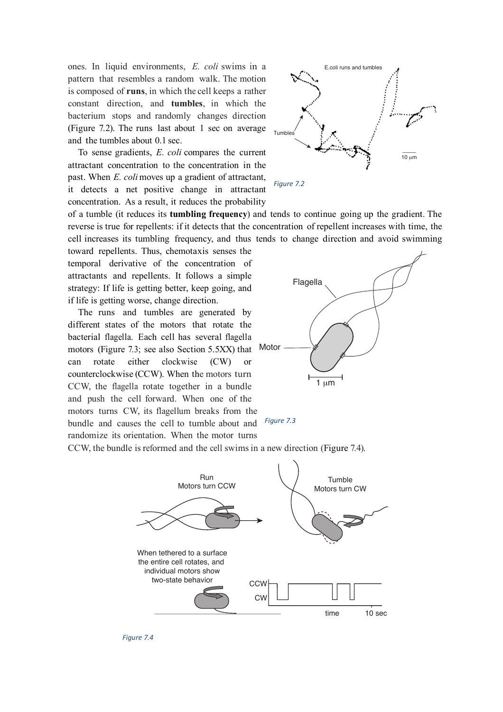ones. In liquid environments, *E. coli* swims in a pattern that resembles a random walk. The motion is composed of **runs**, in which the cell keeps a rather constant direction, and **tumbles**, in which the bacterium stops and randomly changes direction (Figure 7.2). The runs last about 1 sec on average and the tumbles about 0.1 sec.

To sense gradients, *E. coli* compares the current attractant concentration to the concentration in the past. When *E. coli* moves up a gradient of attractant, it detects a net positive change in attractant concentration. As a result, it reduces the probability

of a tumble (it reduces its **tumbling frequency**) and tends to continue going up the gradient. The reverse is true for repellents: if it detects that the concentration of repellent increases with time, the cell increases its tumbling frequency, and thus tends to change direction and avoid swimming

toward repellents. Thus, chemotaxis senses the temporal derivative of the concentration of attractants and repellents. It follows a simple strategy: If life is getting better, keep going, and if life is getting worse, change direction.

The runs and tumbles are generated by different states of the motors that rotate the bacterial flagella. Each cell has several flagella motors (Figure 7.3; see also Section 5.5XX) that can rotate either clockwise (CW) or counterclockwise (CCW). When the motors turn CCW, the flagella rotate together in a bundle and push the cell forward. When one of the motors turns CW, its flagellum breaks from the bundle and causes the cell to tumble about and randomize its orientation. When the motor turns



*Figure 7.2*





CCW, the bundle is reformed and the cell swimsin a new direction (Figure 7.4).



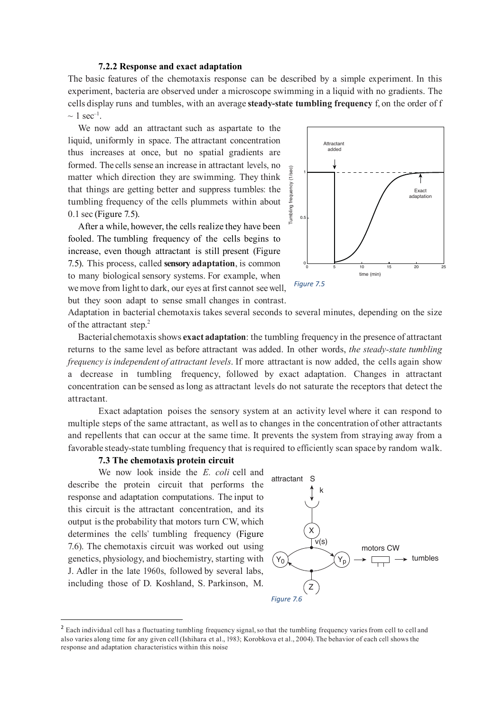#### **7.2.2 Response and exact adaptation**

The basic features of the chemotaxis response can be described by a simple experiment. In this experiment, bacteria are observed under a microscope swimming in a liquid with no gradients. The cells display runs and tumbles, with an average **steady-state tumbling frequency** f, on the order of f  $\sim 1 \text{ sec}^{-1}$ .

We now add an attractant such as aspartate to the liquid, uniformly in space. The attractant concentration thus increases at once, but no spatial gradients are formed. The cells sense an increase in attractant levels, no matter which direction they are swimming. They think that things are getting better and suppress tumbles: the tumbling frequency of the cells plummets within about 0.1 sec (Figure 7.5).

After a while, however, the cells realize they have been fooled. The tumbling frequency of the cells begins to increase, even though attractant is still present (Figure 7.5). This process, called **sensory adaptation**, is common to many biological sensory systems. For example, when wemove from light to dark, our eyes at first cannot see well, but they soon adapt to sense small changes in contrast.



Adaptation in bacterial chemotaxis takes several seconds to several minutes, depending on the size of the attractant step.<sup>2</sup>

Bacterial chemotaxis shows **exact adaptation**: the tumbling frequency in the presence of attractant returns to the same level as before attractant was added. In other words, *the steady-state tumbling frequency isindependent of attractant levels*. If more attractant is now added, the cells again show a decrease in tumbling frequency, followed by exact adaptation. Changes in attractant concentration can be sensed as long as attractant levels do not saturate the receptors that detect the attractant.

Exact adaptation poises the sensory system at an activity level where it can respond to multiple steps of the same attractant, as well as to changes in the concentration of other attractants and repellents that can occur at the same time. It prevents the system from straying away from a favorable steady-state tumbling frequency that is required to efficiently scan space by random walk.

#### **7.3 The chemotaxis protein circuit**

We now look inside the *E. coli* cell and describe the protein circuit that performs the response and adaptation computations. The input to this circuit is the attractant concentration, and its output is the probability that motors turn CW, which determines the cells' tumbling frequency (Figure 7.6). The chemotaxis circuit was worked out using genetics, physiology, and biochemistry, starting with J. Adler in the late 1960s, followed by several labs, including those of D. Koshland, S. Parkinson, M.



<sup>&</sup>lt;sup>2</sup> Each individual cell has a fluctuating tumbling frequency signal, so that the tumbling frequency varies from cell to cell and also varies along time for any given cell (Ishihara et al., 1983; Korobkova et al., 2004). The behavior of each cell shows the response and adaptation characteristics within this noise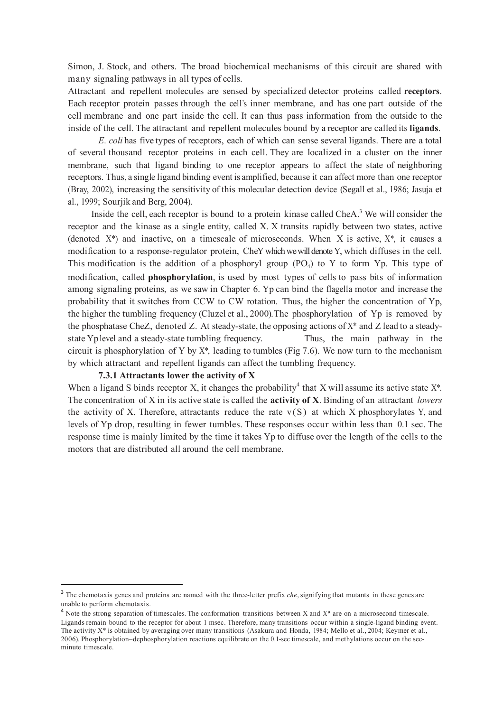Simon, J. Stock, and others. The broad biochemical mechanisms of this circuit are shared with many signaling pathways in all types of cells.

Attractant and repellent molecules are sensed by specialized detector proteins called **receptors**. Each receptor protein passes through the cell's inner membrane, and has one part outside of the cell membrane and one part inside the cell. It can thus pass information from the outside to the inside of the cell. The attractant and repellent molecules bound by a receptor are called its **ligands**.

*E. coli* has five types of receptors, each of which can sense several ligands. There are a total of several thousand receptor proteins in each cell. They are localized in a cluster on the inner membrane, such that ligand binding to one receptor appears to affect the state of neighboring receptors. Thus, a single ligand binding event is amplified, because it can affect more than one receptor (Bray, 2002), increasing the sensitivity of this molecular detection device (Segall et al., 1986; Jasuja et al., 1999; Sourjik and Berg, 2004).

Inside the cell, each receptor is bound to a protein kinase called CheA.<sup>3</sup> We will consider the receptor and the kinase as a single entity, called X. X transits rapidly between two states, active (denoted  $X^*$ ) and inactive, on a timescale of microseconds. When X is active,  $X^*$ , it causes a modification to a response-regulator protein, CheYwhich we will denote Y, which diffuses in the cell. This modification is the addition of a phosphoryl group  $(PO<sub>A</sub>)$  to Y to form Yp. This type of modification, called **phosphorylation**, is used by most types of cells to pass bits of information among signaling proteins, as we saw in Chapter 6. Yp can bind the flagella motor and increase the probability that it switches from CCW to CW rotation. Thus, the higher the concentration of Yp, the higher the tumbling frequency (Cluzel et al., 2000).The phosphorylation of Yp is removed by the phosphatase CheZ, denoted Z. At steady-state, the opposing actions of  $X^*$  and Z lead to a steadystate Yp level and a steady-state tumbling frequency. Thus, the main pathway in the circuit is phosphorylation of Y by  $X^*$ , leading to tumbles (Fig 7.6). We now turn to the mechanism by which attractant and repellent ligands can affect the tumbling frequency.

### **7.3.1 Attractants lower the activity of X**

When a ligand S binds receptor X, it changes the probability<sup>4</sup> that X will assume its active state  $X^*$ . The concentration of X in its active state is called the **activity of X**. Binding of an attractant *lowers* the activity of X. Therefore, attractants reduce the rate  $v(S)$  at which X phosphorylates Y, and levels of Yp drop, resulting in fewer tumbles. These responses occur within less than 0.1 sec. The response time is mainly limited by the time it takes Yp to diffuse over the length of the cells to the motors that are distributed all around the cell membrane.

<sup>&</sup>lt;sup>3</sup> The chemotaxis genes and proteins are named with the three-letter prefix *che*, signifying that mutants in these genes are unable to perform chemotaxis.

<sup>4</sup> Note the strong separation of timescales. The conformation transitions between X and X\* are on a microsecond timescale. Ligands remain bound to the receptor for about 1 msec. Therefore, many transitions occur within a single-ligand binding event. The activity X\* is obtained by averaging over many transitions (Asakura and Honda, 1984; Mello et al., 2004; Keymer et al., 2006). Phosphorylation–dephosphorylation reactions equilibrate on the 0.1-sec timescale, and methylations occur on the secminute timescale.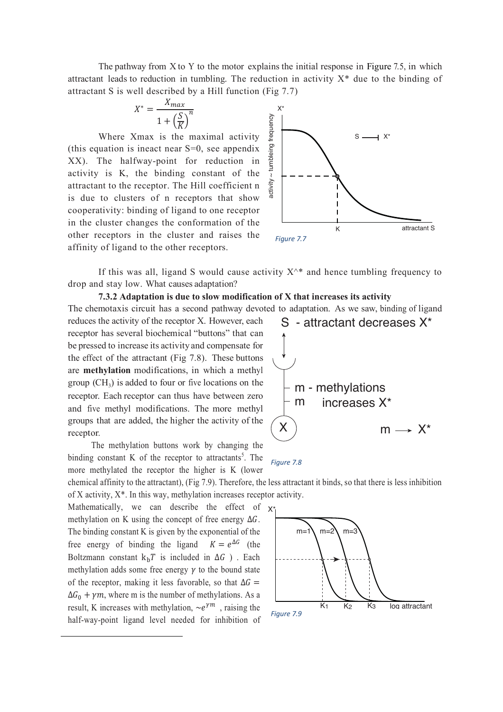The pathway from X to Y to the motor explains the initial response in Figure 7.5, in which attractant leads to reduction in tumbling. The reduction in activity X\* due to the binding of attractant S is well described by a Hill function (Fig 7.7)

$$
X^* = \frac{X_{max}}{1 + \left(\frac{S}{K}\right)^n}
$$

Where Xmax is the maximal activity (this equation is ineact near S=0, see appendix XX). The halfway-point for reduction in activity is K, the binding constant of the attractant to the receptor. The Hill coefficient n is due to clusters of n receptors that show cooperativity: binding of ligand to one receptor in the cluster changes the conformation of the other receptors in the cluster and raises the affinity of ligand to the other receptors.



If this was all, ligand S would cause activity  $X^*$  and hence tumbling frequency to drop and stay low. What causes adaptation?

**7.3.2 Adaptation is due to slow modification of X that increases its activity** The chemotaxis circuit has a second pathway devoted to adaptation. As we saw, binding of ligand S - attractant decreases X\*

reduces the activity of the receptor X. However, each receptor has several biochemical "buttons" that can be pressed to increase its activity and compensate for the effect of the attractant (Fig 7.8). These buttons are **methylation** modifications, in which a methyl group  $(CH<sub>3</sub>)$  is added to four or five locations on the receptor. Each receptor can thus have between zero and five methyl modifications. The more methyl groups that are added, the higher the activity of the receptor.

The methylation buttons work by changing the binding constant  $K$  of the receptor to attractants<sup>5</sup>. The more methylated the receptor the higher is K (lower





chemical affinity to the attractant), (Fig 7.9). Therefore, the less attractant it binds, so that there is less inhibition of X activity, X\*. In this way, methylation increases receptor activity.

Mathematically, we can describe the effect of  $x^*$ methylation on K using the concept of free energy  $\Delta G$ . The binding constant K is given by the exponential of the free energy of binding the ligand  $K = e^{\Delta G}$  (the Boltzmann constant  $k_b T$  is included in  $\Delta G$ ). Each methylation adds some free energy  $\gamma$  to the bound state of the receptor, making it less favorable, so that  $\Delta G =$  $\Delta G_0 + \gamma m$ , where m is the number of methylations. As a result, K increases with methylation,  $\sim e^{\gamma m}$ , raising the half-way-point ligand level needed for inhibition of

 $\overline{a}$ 

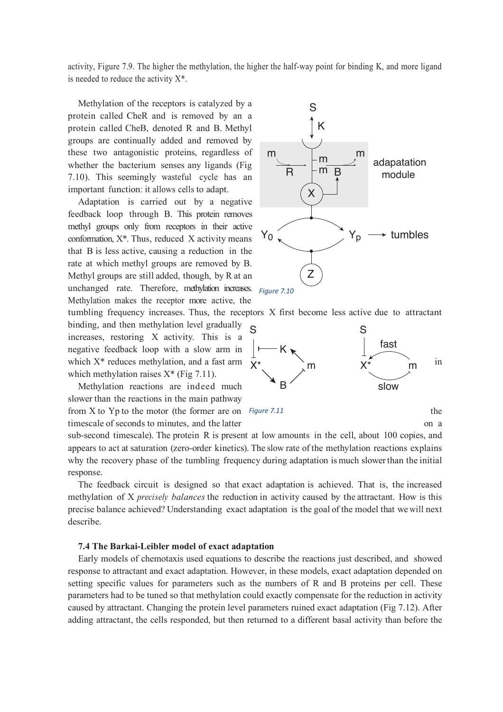activity, Figure 7.9. The higher the methylation, the higher the half-way point for binding K, and more ligand is needed to reduce the activity  $X^*$ .

Methylation of the receptors is catalyzed by a protein called CheR and is removed by an a protein called CheB, denoted R and B. Methyl groups are continually added and removed by these two antagonistic proteins, regardless of whether the bacterium senses any ligands (Fig 7.10). This seemingly wasteful cycle has an important function: it allows cells to adapt.

Adaptation is carried out by a negative feedback loop through B. This protein removes methyl groups only from receptors in their active conformation,  $X^*$ . Thus, reduced  $X$  activity means that B is less active, causing a reduction in the rate at which methyl groups are removed by B. Methyl groups are still added, though, by R at an unchanged rate. Therefore, methylation increases. Methylation makes the receptor more active, the

tumbling frequency increases. Thus, the receptors X first become less active due to attractant binding, and then methylation level gradually increases, restoring X activity. This is a negative feedback loop with a slow arm in which methylation raises  $X^*$  (Fig 7.11).

Methylation reactions are indeed much slower than the reactions in the main pathway from X to Yp to the motor (the former are on Figure 7.11 the timescale of seconds to minutes, and the latter on a contract on a contract on a contract on a contract on a contract on a contract on a contract on a contract on a contract on a contract on a contract on a contract on a c

sub-second timescale). The protein R is present at low amounts in the cell, about 100 copies, and appears to act at saturation (zero-order kinetics). The slow rate of the methylation reactions explains why the recovery phase of the tumbling frequency during adaptation ismuch slowerthan the initial response.

The feedback circuit is designed so that exact adaptation is achieved. That is, the increased methylation of X *precisely balances* the reduction in activity caused by the attractant. How is this precise balance achieved? Understanding exact adaptation is the goal of the model that we will next describe.

# **7.4 The Barkai-Leibler model of exact adaptation**

Early models of chemotaxis used equations to describe the reactions just described, and showed response to attractant and exact adaptation. However, in these models, exact adaptation depended on setting specific values for parameters such as the numbers of R and B proteins per cell. These parameters had to be tuned so that methylation could exactly compensate for the reduction in activity caused by attractant. Changing the protein level parameters ruined exact adaptation (Fig 7.12). After adding attractant, the cells responded, but then returned to a different basal activity than before the



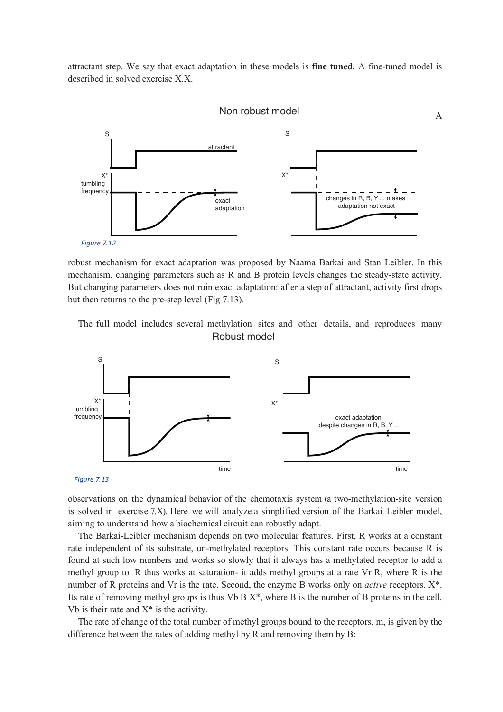attractant step. We say that exact adaptation in these models is **fine tuned.** A fine-tuned model is described in solved exercise X<sub>X</sub>



robust mechanism for exact adaptation was proposed by Naama Barkai and Stan Leibler. In this mechanism, changing parameters such as R and B protein levels changes the steady-state activity. But changing parameters does not ruin exact adaptation: after a step of attractant, activity first drops but then returns to the pre-step level (Fig 7.13).

The full model includes several methylation sites and other details, and reproduces many Robust model





observations on the dynamical behavior of the chemotaxis system (a two-methylation-site version is solved in exercise 7.X). Here we will analyze a simplified version of the Barkai–Leibler model, aiming to understand how a biochemical circuit can robustly adapt.

The Barkai-Leibler mechanism depends on two molecular features. First, R works at a constant rate independent of its substrate, un-methylated receptors. This constant rate occurs because R is found at such low numbers and works so slowly that it always has a methylated receptor to add a methyl group to. R thus works at saturation- it adds methyl groups at a rate Vr R, where R is the number of R proteins and Vr is the rate. Second, the enzyme B works only on *active* receptors, X\*. Its rate of removing methyl groups is thus Vb B X\*, where B is the number of B proteins in the cell, Vb is their rate and  $X^*$  is the activity.

The rate of change of the total number of methyl groups bound to the receptors, m, is given by the difference between the rates of adding methyl by R and removing them by B: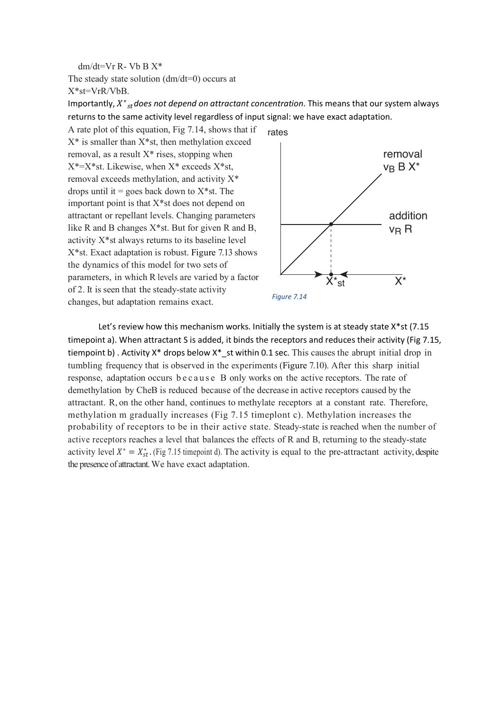dm/dt=Vr R- Vb B  $X^*$ 

The steady state solution (dm/dt=0) occurs at X\*st=VrR/VbB.

Importantly,  $X^*_{st}$  does not depend on attractant concentration. This means that our system always returns to the same activity level regardless of input signal: we have exact adaptation.

A rate plot of this equation, Fig 7.14, shows that if  $X^*$  is smaller than  $X^*$ st, then methylation exceed removal, as a result  $X^*$  rises, stopping when  $X^* = X^*$ st. Likewise, when  $X^*$  exceeds  $X^*$ st, removal exceeds methylation, and activity X\* drops until it = goes back down to  $X^*$ st. The important point is that X\*st does not depend on attractant or repellant levels. Changing parameters like R and B changes X\*st. But for given R and B, activity X\*st always returns to its baseline level X\*st. Exact adaptation is robust. Figure 7.13 shows the dynamics of this model for two sets of parameters, in which R levels are varied by a factor of 2. It is seen that the steady-state activity changes, but adaptation remains exact.



Let's review how this mechanism works. Initially the system is at steady state X\*st (7.15 timepoint a). When attractant S is added, it binds the receptors and reduces their activity (Fig 7.15, tiempoint b). Activity  $X^*$  drops below  $X^*$  st within 0.1 sec. This causes the abrupt initial drop in tumbling frequency that is observed in the experiments (Figure 7.10). After this sharp initial response, adaptation occurs because B only works on the active receptors. The rate of demethylation by CheB is reduced because of the decrease in active receptors caused by the attractant. R, on the other hand, continues to methylate receptors at a constant rate. Therefore, methylation m gradually increases (Fig 7.15 timeplont c). Methylation increases the probability of receptors to be in their active state. Steady-state is reached when the number of active receptors reaches a level that balances the effects of R and B, returning to the steady-state activity level  $X^* = X_{st}^*$ . (Fig 7.15 timepoint d). The activity is equal to the pre-attractant activity, despite the presence of attractant. We have exact adaptation.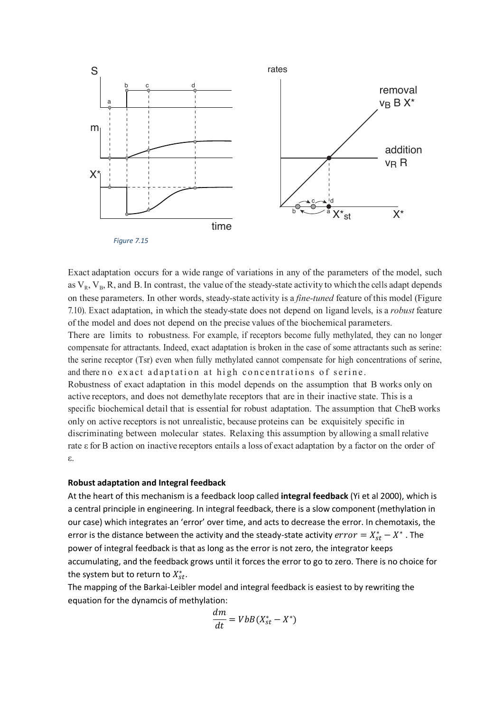

Exact adaptation occurs for a wide range of variations in any of the parameters of the model, such as  $V_R$ ,  $V_B$ , R, and B. In contrast, the value of the steady-state activity to which the cells adapt depends on these parameters. In other words, steady-state activity is a *fine-tuned* feature of this model (Figure 7.10). Exact adaptation, in which the steady-state does not depend on ligand levels, is a *robust* feature of the model and does not depend on the precise values of the biochemical parameters.

There are limits to robustness. For example, if receptors become fully methylated, they can no longer compensate for attractants. Indeed, exact adaptation is broken in the case of some attractants such as serine: the serine receptor (Tsr) even when fully methylated cannot compensate for high concentrations of serine, and there no exact adaptation at high concentrations of serine.

Robustness of exact adaptation in this model depends on the assumption that B works only on active receptors, and does not demethylate receptors that are in their inactive state. This is a specific biochemical detail that is essential for robust adaptation. The assumption that CheB works only on active receptors is not unrealistic, because proteins can be exquisitely specific in discriminating between molecular states. Relaxing this assumption by allowing a small relative rate ε for B action on inactive receptors entails a loss of exact adaptation by a factor on the order of ε.

### **Robust adaptation and Integral feedback**

At the heart of this mechanism is a feedback loop called **integral feedback** (Yi et al 2000), which is a central principle in engineering. In integral feedback, there is a slow component (methylation in our case) which integrates an 'error' over time, and acts to decrease the error. In chemotaxis, the error is the distance between the activity and the steady-state activity  $error = X_{st}^* - X^*$  . The power of integral feedback is that as long as the error is not zero, the integrator keeps accumulating, and the feedback grows until it forces the error to go to zero. There is no choice for the system but to return to  $X_{st}^*$ .

The mapping of the Barkai-Leibler model and integral feedback is easiest to by rewriting the equation for the dynamcis of methylation:

$$
\frac{dm}{dt} = VbB(X_{st}^* - X^*)
$$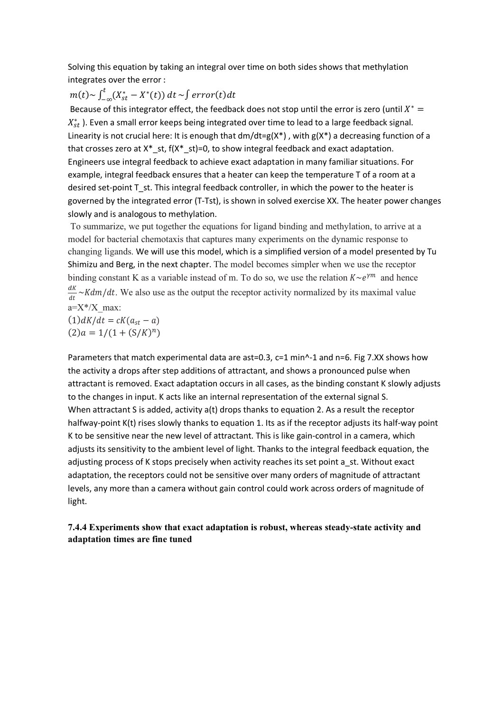Solving this equation by taking an integral over time on both sides shows that methylation integrates over the error :

 $m(t) \thicksim \int_{-\infty}^{t} (X_{st}^*-X^*(t)) dt \thicksim \int error(t) dt$ 

Because of this integrator effect, the feedback does not stop until the error is zero (until  $X^* =$  $X_{st}^*$  ). Even a small error keeps being integrated over time to lead to a large feedback signal. Linearity is not crucial here: It is enough that  $dm/dt=g(X^*)$ , with  $g(X^*)$  a decreasing function of a that crosses zero at  $X^*$  st,  $f(X^*$  st)=0, to show integral feedback and exact adaptation. Engineers use integral feedback to achieve exact adaptation in many familiar situations. For example, integral feedback ensures that a heater can keep the temperature T of a room at a desired set-point T\_st. This integral feedback controller, in which the power to the heater is governed by the integrated error (T-Tst), is shown in solved exercise XX. The heater power changes slowly and is analogous to methylation.

To summarize, we put together the equations for ligand binding and methylation, to arrive at a model for bacterial chemotaxis that captures many experiments on the dynamic response to changing ligands. We will use this model, which is a simplified version of a model presented by Tu Shimizu and Berg, in the next chapter. The model becomes simpler when we use the receptor binding constant K as a variable instead of m. To do so, we use the relation  $K \sim e^{\gamma m}$  and hence  $\frac{dK}{dt} \sim K dm/dt$ . We also use as the output the receptor activity normalized by its maximal value  $a=X^*/X$  max:

 $(1)dK/dt = cK(a_{st} - a)$  $(2)a = 1/(1 + (S/K)^n)$ 

Parameters that match experimental data are ast=0.3, c=1 min^-1 and n=6. Fig 7.XX shows how the activity a drops after step additions of attractant, and shows a pronounced pulse when attractant is removed. Exact adaptation occurs in all cases, as the binding constant K slowly adjusts to the changes in input. K acts like an internal representation of the external signal S. When attractant S is added, activity a(t) drops thanks to equation 2. As a result the receptor halfway-point K(t) rises slowly thanks to equation 1. Its as if the receptor adjusts its half-way point K to be sensitive near the new level of attractant. This is like gain-control in a camera, which adjusts its sensitivity to the ambient level of light. Thanks to the integral feedback equation, the adjusting process of K stops precisely when activity reaches its set point a st. Without exact adaptation, the receptors could not be sensitive over many orders of magnitude of attractant levels, any more than a camera without gain control could work across orders of magnitude of light.

**7.4.4 Experiments show that exact adaptation is robust, whereas steady-state activity and adaptation times are fine tuned**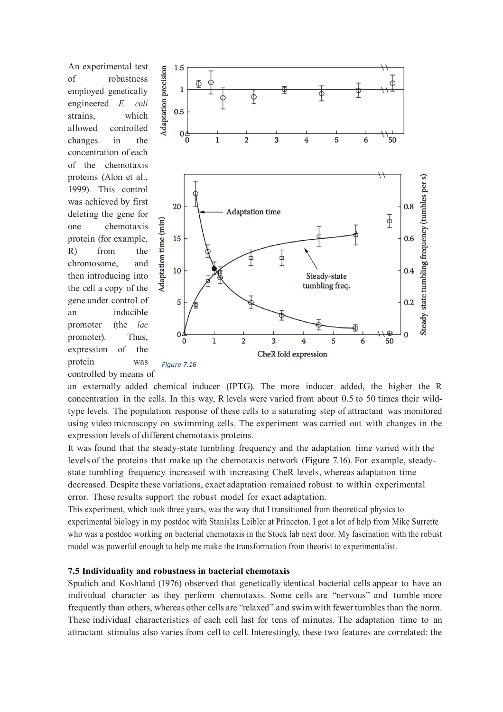An experimental test of robustness employed genetically engineered *E. coli* strains, which allowed controlled changes in the concentration of each of the chemotaxis proteins (Alon et al., 1999). This control was achieved by first deleting the gene for one chemotaxis protein (for example, R) from the chromosome, and then introducing into the cell a copy of the gene under control of an inducible promoter (the *lac* promoter). Thus, expression of the protein was controlled by means of



an externally added chemical inducer (IPTG). The more inducer added, the higher the R concentration in the cells. In this way, R levels were varied from about 0.5 to 50 times their wildtype levels. The population response of these cells to a saturating step of attractant was monitored using video microscopy on swimming cells. The experiment was carried out with changes in the expression levels of different chemotaxis proteins.

It was found that the steady-state tumbling frequency and the adaptation time varied with the levels of the proteins that make up the chemotaxis network (Figure 7.16). For example, steadystate tumbling frequency increased with increasing CheR levels, whereas adaptation time decreased. Despite these variations, exact adaptation remained robust to within experimental error. These results support the robust model for exact adaptation.

This experiment, which took three years, was the way that I transitioned from theoretical physics to experimental biology in my postdoc with Stanislas Leibler at Princeton. I got a lot of help from Mike Surrette who was a postdoc working on bacterial chemotaxis in the Stock lab next door. My fascination with the robust model was powerful enough to help me make the transformation from theorist to experimentalist.

# **7.5 Individuality and robustness in bacterial chemotaxis**

Spudich and Koshland (1976) observed that genetically identical bacterial cells appear to have an individual character as they perform chemotaxis. Some cells are "nervous" and tumble more frequently than others, whereas other cells are "relaxed" and swim with fewertumbles than the norm. These individual characteristics of each cell last for tens of minutes. The adaptation time to an attractant stimulus also varies from cell to cell. Interestingly, these two features are correlated: the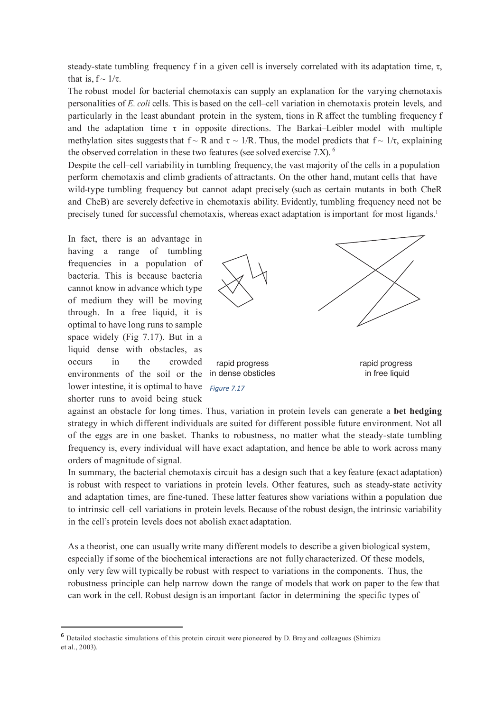steady-state tumbling frequency f in a given cell is inversely correlated with its adaptation time, τ, that is,  $f \sim 1/\tau$ .

The robust model for bacterial chemotaxis can supply an explanation for the varying chemotaxis personalities of *E. coli* cells. Thisis based on the cell–cell variation in chemotaxis protein levels, and particularly in the least abundant protein in the system, tions in R affect the tumbling frequency f and the adaptation time  $\tau$  in opposite directions. The Barkai–Leibler model with multiple methylation sites suggests that  $f \sim R$  and  $\tau \sim 1/R$ . Thus, the model predicts that  $f \sim 1/\tau$ , explaining the observed correlation in these two features (see solved exercise 7.X). 6

Despite the cell–cell variability in tumbling frequency, the vast majority of the cells in a population perform chemotaxis and climb gradients of attractants. On the other hand, mutant cells that have wild-type tumbling frequency but cannot adapt precisely (such as certain mutants in both CheR and CheB) are severely defective in chemotaxis ability. Evidently, tumbling frequency need not be precisely tuned for successful chemotaxis, whereas exact adaptation is important for most ligands. 1

In fact, there is an advantage in having a range of tumbling frequencies in a population of bacteria. This is because bacteria cannot know in advance which type of medium they will be moving through. In a free liquid, it is optimal to have long runs to sample space widely (Fig 7.17). But in a liquid dense with obstacles, as occurs in the crowded environments of the soil or the in dense obsticles lower intestine, it is optimal to have *Figure 7.17*shorter runs to avoid being stuck



against an obstacle for long times. Thus, variation in protein levels can generate a **bet hedging** strategy in which different individuals are suited for different possible future environment. Not all of the eggs are in one basket. Thanks to robustness, no matter what the steady-state tumbling frequency is, every individual will have exact adaptation, and hence be able to work across many orders of magnitude of signal.

In summary, the bacterial chemotaxis circuit has a design such that a key feature (exact adaptation) is robust with respect to variations in protein levels. Other features, such as steady-state activity and adaptation times, are fine-tuned. These latter features show variations within a population due to intrinsic cell–cell variations in protein levels. Because of the robust design, the intrinsic variability in the cell's protein levels does not abolish exact adaptation.

As a theorist, one can usually write many different models to describe a given biological system, especially if some of the biochemical interactions are not fully characterized. Of these models, only very few will typically be robust with respect to variations in the components. Thus, the robustness principle can help narrow down the range of models that work on paper to the few that can work in the cell. Robust design is an important factor in determining the specific types of

 <sup>6</sup> Detailed stochastic simulations of this protein circuit were pioneered by D. Bray and colleagues (Shimizu et al., 2003).